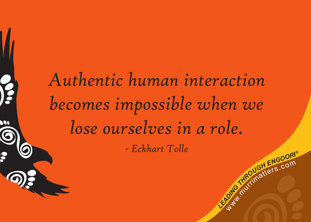# **C**<br>Like *dia conditional ENGOORI® Authentic human interaction becomes impossible when we lose ourselves in a role. - Eckhart Tolle*

Way.

meurditers.com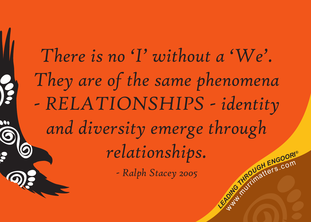**C**<br>Like *dia conditional ENGOORI®* meurditers.com *There is no 'I' without a 'We'. They are of the same phenomena - RELATIONSHIPS - identity and diversity emerge through relationships. - Ralph Stacey 2005*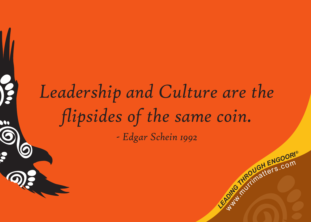#### *Leadership and Culture are the flipsides of the same coin. - Edgar Schein 1992*

**C**<br>Like *dia conditional ENGOORI®* 

meurditers.com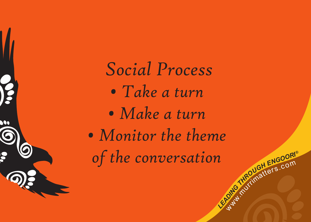**2**<br> **L**earchimers.com<br> **COM**<br> **COM**<br> **COM**  *Social Process • Take a turn • Make a turn • Monitor the theme of the conversation*

 $\bullet$ 

Way.

meurditers.com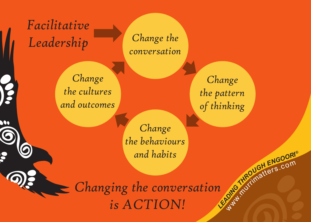**2**<br> **L**ea<sup>dro</sup>natiers.com *Changing the conversation is ACTION!*

#### *Facilitative*  Leadership Change the

 $\bullet$ 

*conversation*

#### *Change the pattern of thinking*

Way.

meurditers.com

*Change the behaviours and habits* 

*Change the cultures and outcomes*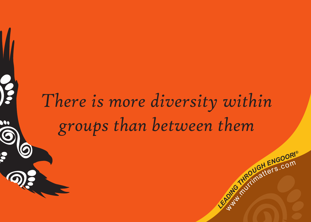### *There is more diversity within groups than between them*

**C**<br>Like *dia conditional ENGOORI®* 

meurditers.com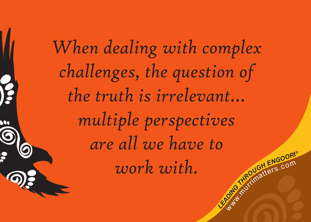**C**<br>Like *dia conditional ENGOORI®* meurditers.com *When dealing with complex challenges, the question of the truth is irrelevant… multiple perspectives are all we have to work with.*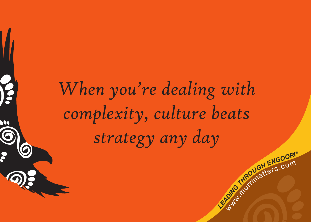## *When you're dealing with complexity, culture beats strategy any day*

**C**<br>Like *dia conditional ENGOORI®* 

meurditers.com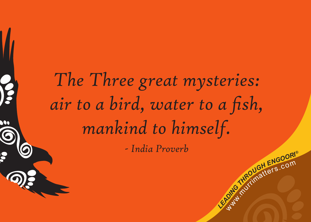# **C**<br>Like *dia conditional ENGOORI® The Three great mysteries: air to a bird, water to a fish, mankind to himself. - India Proverb*

Way.

meurditers.com